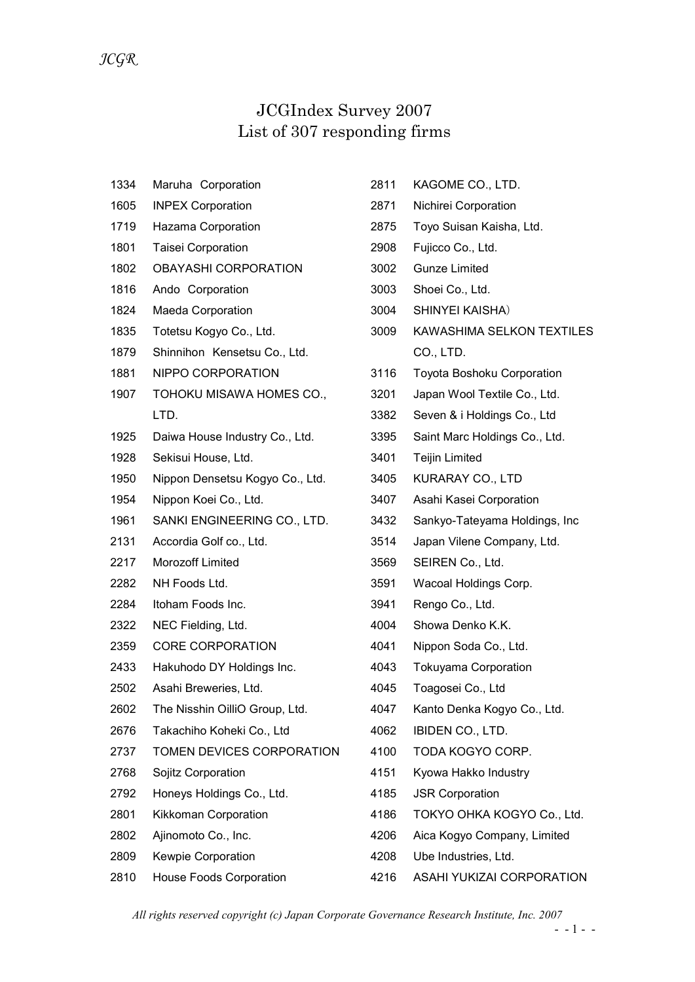## JCGIndex Survey 2007 List of 307 responding firms

| 1334 | Maruha Corporation              | 2811 | KAGOME CO., LTD.              |
|------|---------------------------------|------|-------------------------------|
| 1605 | <b>INPEX Corporation</b>        | 2871 | Nichirei Corporation          |
| 1719 | Hazama Corporation              | 2875 | Toyo Suisan Kaisha, Ltd.      |
| 1801 | Taisei Corporation              | 2908 | Fujicco Co., Ltd.             |
| 1802 | <b>OBAYASHI CORPORATION</b>     | 3002 | <b>Gunze Limited</b>          |
| 1816 | Ando Corporation                | 3003 | Shoei Co., Ltd.               |
| 1824 | Maeda Corporation               | 3004 | SHINYEI KAISHA)               |
| 1835 | Totetsu Kogyo Co., Ltd.         | 3009 | KAWASHIMA SELKON TEXTILES     |
| 1879 | Shinnihon Kensetsu Co., Ltd.    |      | CO., LTD.                     |
| 1881 | NIPPO CORPORATION               | 3116 | Toyota Boshoku Corporation    |
| 1907 | TOHOKU MISAWA HOMES CO.,        | 3201 | Japan Wool Textile Co., Ltd.  |
|      | LTD.                            | 3382 | Seven & i Holdings Co., Ltd   |
| 1925 | Daiwa House Industry Co., Ltd.  | 3395 | Saint Marc Holdings Co., Ltd. |
| 1928 | Sekisui House, Ltd.             | 3401 | <b>Teijin Limited</b>         |
| 1950 | Nippon Densetsu Kogyo Co., Ltd. | 3405 | KURARAY CO., LTD              |
| 1954 | Nippon Koei Co., Ltd.           | 3407 | Asahi Kasei Corporation       |
| 1961 | SANKI ENGINEERING CO., LTD.     | 3432 | Sankyo-Tateyama Holdings, Inc |
| 2131 | Accordia Golf co., Ltd.         | 3514 | Japan Vilene Company, Ltd.    |
| 2217 | Morozoff Limited                | 3569 | SEIREN Co., Ltd.              |
| 2282 | NH Foods Ltd.                   | 3591 | Wacoal Holdings Corp.         |
| 2284 | Itoham Foods Inc.               | 3941 | Rengo Co., Ltd.               |
| 2322 | NEC Fielding, Ltd.              | 4004 | Showa Denko K.K.              |
| 2359 | <b>CORE CORPORATION</b>         | 4041 | Nippon Soda Co., Ltd.         |
| 2433 | Hakuhodo DY Holdings Inc.       | 4043 | <b>Tokuyama Corporation</b>   |
| 2502 | Asahi Breweries, Ltd.           | 4045 | Toagosei Co., Ltd             |
| 2602 | The Nisshin OilliO Group, Ltd.  | 4047 | Kanto Denka Kogyo Co., Ltd.   |
| 2676 | Takachiho Koheki Co., Ltd       | 4062 | IBIDEN CO., LTD.              |
| 2737 | TOMEN DEVICES CORPORATION       | 4100 | TODA KOGYO CORP.              |
| 2768 | Sojitz Corporation              | 4151 | Kyowa Hakko Industry          |
| 2792 | Honeys Holdings Co., Ltd.       | 4185 | <b>JSR Corporation</b>        |
| 2801 | Kikkoman Corporation            | 4186 | TOKYO OHKA KOGYO Co., Ltd.    |
| 2802 | Ajinomoto Co., Inc.             | 4206 | Aica Kogyo Company, Limited   |
| 2809 | Kewpie Corporation              | 4208 | Ube Industries, Ltd.          |
| 2810 | <b>House Foods Corporation</b>  | 4216 | ASAHI YUKIZAI CORPORATION     |

All rights reserved copyright (c) Japan Corporate Governance Research Institute, Inc. 2007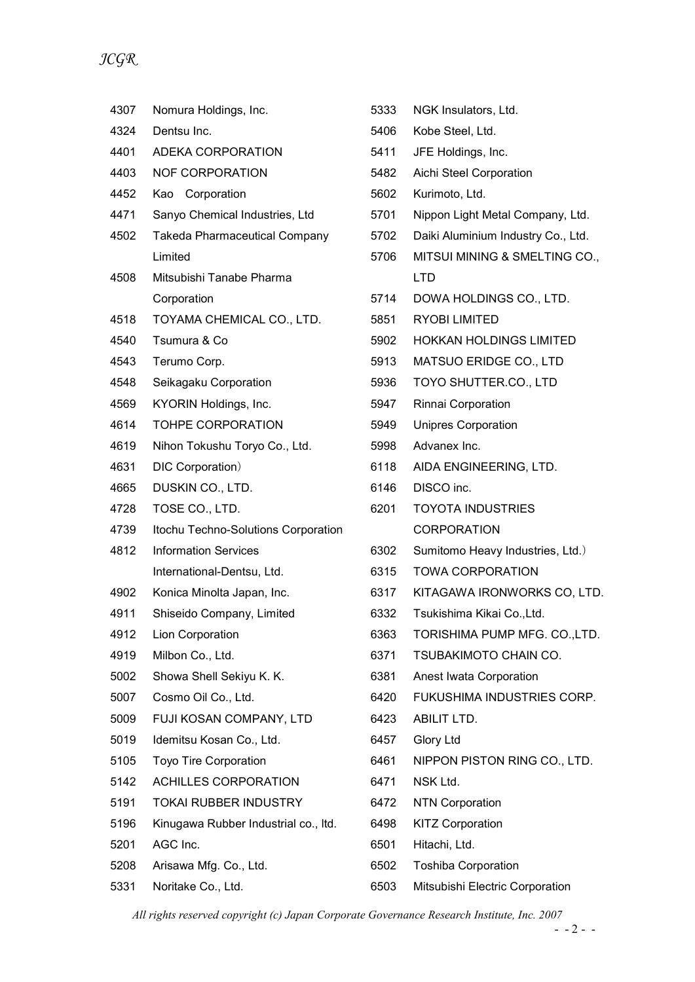| $\sim$ J |                                      |      |                 |
|----------|--------------------------------------|------|-----------------|
|          |                                      |      |                 |
| 4307     | Nomura Holdings, Inc.                | 5333 | <b>NGK Inst</b> |
| 4324     | Dentsu Inc.                          | 5406 | Kobe Ste        |
| 4401     | ADEKA CORPORATION                    | 5411 | <b>JFE Hold</b> |
| 4403     | <b>NOF CORPORATION</b>               | 5482 | Aichi Ste       |
| 4452     | Kao Corporation                      | 5602 | Kurimoto        |
| 4471     | Sanyo Chemical Industries, Ltd       | 5701 | Nippon L        |
| 4502     | <b>Takeda Pharmaceutical Company</b> | 5702 | Daiki Alu       |
|          | Limited                              | 5706 | <b>MITSUIN</b>  |
| 4508     | Mitsubishi Tanabe Pharma             |      | <b>LTD</b>      |
|          | Corporation                          | 5714 | DOWA H          |
| 4518     | TOYAMA CHEMICAL CO., LTD.            | 5851 | <b>RYOBIL</b>   |
| 4540     | Tsumura & Co                         | 5902 | <b>HOKKAN</b>   |
| 4543     | Terumo Corp.                         | 5913 | <b>MATSUC</b>   |
| 4548     | Seikagaku Corporation                | 5936 | <b>TOYO SI</b>  |
| 4569     | KYORIN Holdings, Inc.                | 5947 | Rinnai Co       |
| 4614     | <b>TOHPE CORPORATION</b>             | 5949 | Unipres (       |
| 4619     | Nihon Tokushu Toryo Co., Ltd.        | 5998 | Advanex         |
| 4631     | DIC Corporation)                     | 6118 | <b>AIDA EN</b>  |
| 4665     | DUSKIN CO., LTD.                     | 6146 | DISCO ir        |
| 4728     | TOSE CO., LTD.                       | 6201 | <b>TOYOTA</b>   |
| 4739     | Itochu Techno-Solutions Corporation  |      | <b>CORPOF</b>   |

- 4812 Information Services International-Dentsu, Ltd.
- 4902 Konica Minolta Japan, Inc.
- 4911 Shiseido Company, Limited
- 4912 Lion Corporation
- 4919 Milbon Co., Ltd.
- 5002 Showa Shell Sekiyu K. K.
- 5007 Cosmo Oil Co., Ltd.
- 5009 FUJI KOSAN COMPANY, LTD
- 5019 Idemitsu Kosan Co., Ltd.
- 5105 Toyo Tire Corporation
- 5142 ACHILLES CORPORATION
- 5191 TOKAI RUBBER INDUSTRY
- 5196 Kinugawa Rubber Industrial co., ltd.
- 5201 AGC Inc.
- 5208 Arisawa Mfg. Co., Ltd.
- 5331 Noritake Co., Ltd.

| 5333 | NGK Insulators, Ltd.               |
|------|------------------------------------|
| 5406 | Kobe Steel, Ltd.                   |
| 5411 | JFE Holdings, Inc.                 |
| 5482 | Aichi Steel Corporation            |
| 5602 | Kurimoto, Ltd.                     |
| 5701 | Nippon Light Metal Company, Ltd.   |
| 5702 | Daiki Aluminium Industry Co., Ltd. |
| 5706 | MITSUI MINING & SMELTING CO.,      |
|      | <b>LTD</b>                         |
| 5714 | DOWA HOLDINGS CO., LTD.            |
| 5851 | RYOBI LIMITED                      |
| 5902 | <b>HOKKAN HOLDINGS LIMITED</b>     |
| 5913 | <b>MATSUO ERIDGE CO., LTD</b>      |
| 5936 | TOYO SHUTTER.CO., LTD              |
| 5947 | Rinnai Corporation                 |
| 5949 | <b>Unipres Corporation</b>         |
| 5998 | Advanex Inc.                       |
| 6118 | AIDA ENGINEERING, LTD.             |
| 6146 | DISCO inc.                         |
| 6201 | <b>TOYOTA INDUSTRIES</b>           |
|      | CORPORATION                        |
| 6302 | Sumitomo Heavy Industries, Ltd.)   |
| 6315 | <b>TOWA CORPORATION</b>            |
| 6317 | KITAGAWA IRONWORKS CO, LTD.        |
| 6332 | Tsukishima Kikai Co., Ltd.         |
| 6363 | TORISHIMA PUMP MFG. CO.,LTD.       |
| 6371 | TSUBAKIMOTO CHAIN CO.              |
| 6381 | Anest Iwata Corporation            |
| 6420 | FUKUSHIMA INDUSTRIES CORP.         |
| 6423 | <b>ABILIT LTD.</b>                 |
| 6457 | <b>Glory Ltd</b>                   |

- 6461 NIPPON PISTON RING CO., LTD.
- 6471 NSK Ltd.
- 6472 NTN Corporation
- 6498 KITZ Corporation
- 6501 Hitachi, Ltd.
- 6502 Toshiba Corporation
- 6503 Mitsubishi Electric Corporation

All rights reserved copyright (c) Japan Corporate Governance Research Institute, Inc. 2007  $- - 2 - -$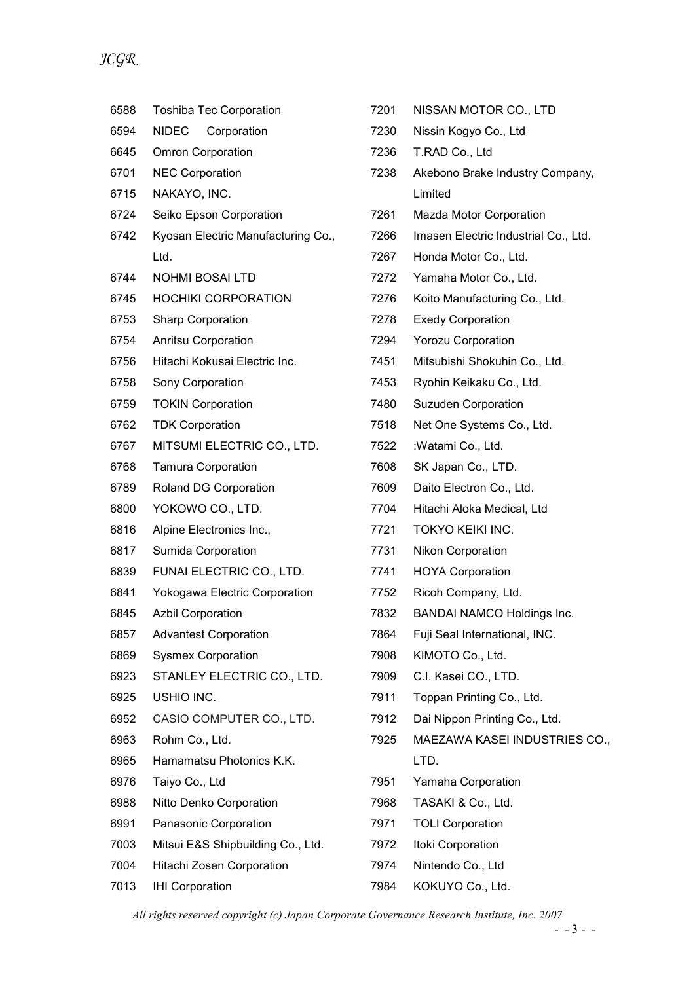| 6588 | <b>Toshiba Tec Corporation</b>     | 7201 | NISSAN MOTOR CO., LTD                |
|------|------------------------------------|------|--------------------------------------|
| 6594 | NIDEC<br>Corporation               | 7230 | Nissin Kogyo Co., Ltd                |
| 6645 | <b>Omron Corporation</b>           | 7236 | T.RAD Co., Ltd                       |
| 6701 | <b>NEC Corporation</b>             | 7238 | Akebono Brake Industry Company,      |
| 6715 | NAKAYO, INC.                       |      | Limited                              |
| 6724 | Seiko Epson Corporation            | 7261 | Mazda Motor Corporation              |
| 6742 | Kyosan Electric Manufacturing Co., | 7266 | Imasen Electric Industrial Co., Ltd. |
|      | Ltd.                               | 7267 | Honda Motor Co., Ltd.                |
| 6744 | <b>NOHMI BOSAI LTD</b>             | 7272 | Yamaha Motor Co., Ltd.               |
| 6745 | <b>HOCHIKI CORPORATION</b>         | 7276 | Koito Manufacturing Co., Ltd.        |
| 6753 | <b>Sharp Corporation</b>           | 7278 | <b>Exedy Corporation</b>             |
| 6754 | Anritsu Corporation                | 7294 | <b>Yorozu Corporation</b>            |
| 6756 | Hitachi Kokusai Electric Inc.      | 7451 | Mitsubishi Shokuhin Co., Ltd.        |
| 6758 | Sony Corporation                   | 7453 | Ryohin Keikaku Co., Ltd.             |
| 6759 | <b>TOKIN Corporation</b>           | 7480 | <b>Suzuden Corporation</b>           |
| 6762 | <b>TDK Corporation</b>             | 7518 | Net One Systems Co., Ltd.            |
| 6767 | MITSUMI ELECTRIC CO., LTD.         | 7522 | :Watami Co., Ltd.                    |
| 6768 | <b>Tamura Corporation</b>          | 7608 | SK Japan Co., LTD.                   |
| 6789 | Roland DG Corporation              | 7609 | Daito Electron Co., Ltd.             |
| 6800 | YOKOWO CO., LTD.                   | 7704 | Hitachi Aloka Medical, Ltd           |
| 6816 | Alpine Electronics Inc.,           | 7721 | TOKYO KEIKI INC.                     |
| 6817 | Sumida Corporation                 | 7731 | Nikon Corporation                    |
| 6839 | FUNAI ELECTRIC CO., LTD.           | 7741 | <b>HOYA Corporation</b>              |
| 6841 | Yokogawa Electric Corporation      | 7752 | Ricoh Company, Ltd.                  |
| 6845 | <b>Azbil Corporation</b>           | 7832 | <b>BANDAI NAMCO Holdings Inc.</b>    |
| 6857 | <b>Advantest Corporation</b>       | 7864 | Fuji Seal International, INC.        |
| 6869 | <b>Sysmex Corporation</b>          | 7908 | KIMOTO Co., Ltd.                     |
| 6923 | STANLEY ELECTRIC CO., LTD.         | 7909 | C.I. Kasei CO., LTD.                 |
| 6925 | USHIO INC.                         | 7911 | Toppan Printing Co., Ltd.            |
| 6952 | CASIO COMPUTER CO., LTD.           | 7912 | Dai Nippon Printing Co., Ltd.        |
| 6963 | Rohm Co., Ltd.                     | 7925 | MAEZAWA KASEI INDUSTRIES CO.,        |
| 6965 | Hamamatsu Photonics K.K.           |      | LTD.                                 |
| 6976 | Taiyo Co., Ltd                     | 7951 | Yamaha Corporation                   |
| 6988 | Nitto Denko Corporation            | 7968 | TASAKI & Co., Ltd.                   |
| 6991 | Panasonic Corporation              | 7971 | <b>TOLI Corporation</b>              |
| 7003 | Mitsui E&S Shipbuilding Co., Ltd.  | 7972 | Itoki Corporation                    |
| 7004 | Hitachi Zosen Corporation          | 7974 | Nintendo Co., Ltd                    |
| 7013 | <b>IHI Corporation</b>             | 7984 | KOKUYO Co., Ltd.                     |

All rights reserved copyright (c) Japan Corporate Governance Research Institute, Inc. 2007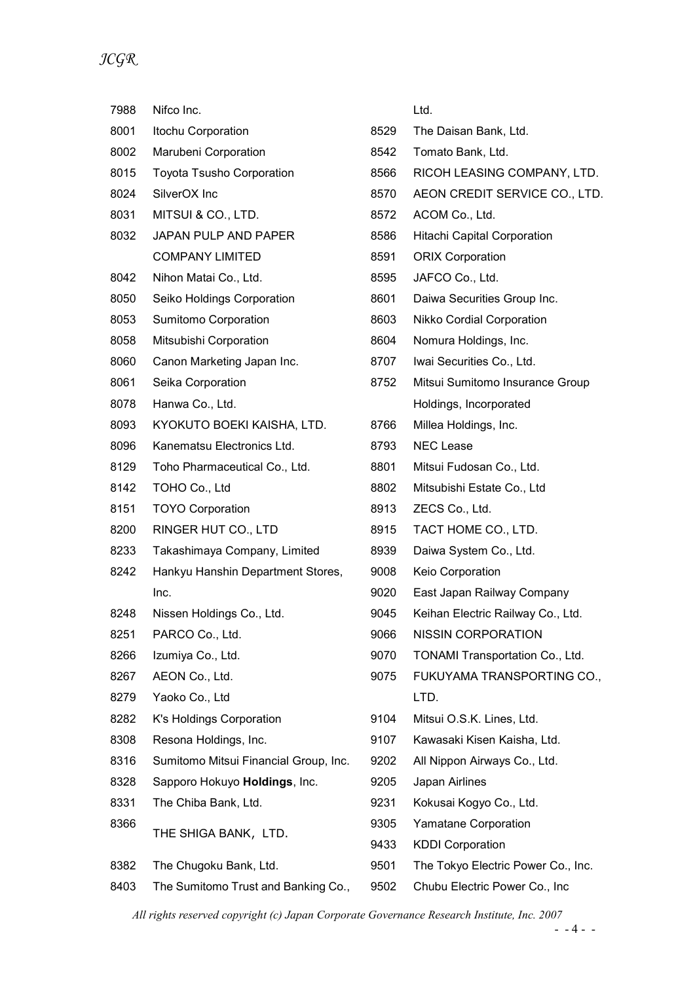JCGR

| 7988 | Nifco Inc.                            |      | Ltd.                               |
|------|---------------------------------------|------|------------------------------------|
| 8001 | Itochu Corporation                    | 8529 | The Daisan Bank, Ltd.              |
| 8002 | Marubeni Corporation                  | 8542 | Tomato Bank, Ltd.                  |
| 8015 | <b>Toyota Tsusho Corporation</b>      | 8566 | RICOH LEASING COMPANY, LTD.        |
| 8024 | SilverOX Inc                          | 8570 | AEON CREDIT SERVICE CO., LTD.      |
| 8031 | MITSUI & CO., LTD.                    | 8572 | ACOM Co., Ltd.                     |
| 8032 | JAPAN PULP AND PAPER                  | 8586 | <b>Hitachi Capital Corporation</b> |
|      | <b>COMPANY LIMITED</b>                | 8591 | <b>ORIX Corporation</b>            |
| 8042 | Nihon Matai Co., Ltd.                 | 8595 | JAFCO Co., Ltd.                    |
| 8050 | Seiko Holdings Corporation            | 8601 | Daiwa Securities Group Inc.        |
| 8053 | Sumitomo Corporation                  | 8603 | <b>Nikko Cordial Corporation</b>   |
| 8058 | Mitsubishi Corporation                | 8604 | Nomura Holdings, Inc.              |
| 8060 | Canon Marketing Japan Inc.            | 8707 | Iwai Securities Co., Ltd.          |
| 8061 | Seika Corporation                     | 8752 | Mitsui Sumitomo Insurance Group    |
| 8078 | Hanwa Co., Ltd.                       |      | Holdings, Incorporated             |
| 8093 | KYOKUTO BOEKI KAISHA, LTD.            | 8766 | Millea Holdings, Inc.              |
| 8096 | Kanematsu Electronics Ltd.            | 8793 | <b>NEC Lease</b>                   |
| 8129 | Toho Pharmaceutical Co., Ltd.         | 8801 | Mitsui Fudosan Co., Ltd.           |
| 8142 | TOHO Co., Ltd                         | 8802 | Mitsubishi Estate Co., Ltd         |
| 8151 | <b>TOYO Corporation</b>               | 8913 | ZECS Co., Ltd.                     |
| 8200 | RINGER HUT CO., LTD                   | 8915 | TACT HOME CO., LTD.                |
| 8233 | Takashimaya Company, Limited          | 8939 | Daiwa System Co., Ltd.             |
| 8242 | Hankyu Hanshin Department Stores,     | 9008 | Keio Corporation                   |
|      | Inc.                                  | 9020 | East Japan Railway Company         |
| 8248 | Nissen Holdings Co., Ltd.             | 9045 | Keihan Electric Railway Co., Ltd.  |
| 8251 | PARCO Co., Ltd.                       | 9066 | <b>NISSIN CORPORATION</b>          |
| 8266 | Izumiya Co., Ltd.                     | 9070 | TONAMI Transportation Co., Ltd.    |
| 8267 | AEON Co., Ltd.                        | 9075 | FUKUYAMA TRANSPORTING CO.,         |
| 8279 | Yaoko Co., Ltd                        |      | LTD.                               |
| 8282 | K's Holdings Corporation              | 9104 | Mitsui O.S.K. Lines, Ltd.          |
| 8308 | Resona Holdings, Inc.                 | 9107 | Kawasaki Kisen Kaisha, Ltd.        |
| 8316 | Sumitomo Mitsui Financial Group, Inc. | 9202 | All Nippon Airways Co., Ltd.       |
| 8328 | Sapporo Hokuyo Holdings, Inc.         | 9205 | Japan Airlines                     |
| 8331 | The Chiba Bank, Ltd.                  | 9231 | Kokusai Kogyo Co., Ltd.            |
| 8366 | THE SHIGA BANK, LTD.                  | 9305 | Yamatane Corporation               |
|      |                                       | 9433 | <b>KDDI Corporation</b>            |
| 8382 | The Chugoku Bank, Ltd.                | 9501 | The Tokyo Electric Power Co., Inc. |
| 8403 | The Sumitomo Trust and Banking Co.,   | 9502 | Chubu Electric Power Co., Inc      |

All rights reserved copyright (c) Japan Corporate Governance Research Institute, Inc. 2007